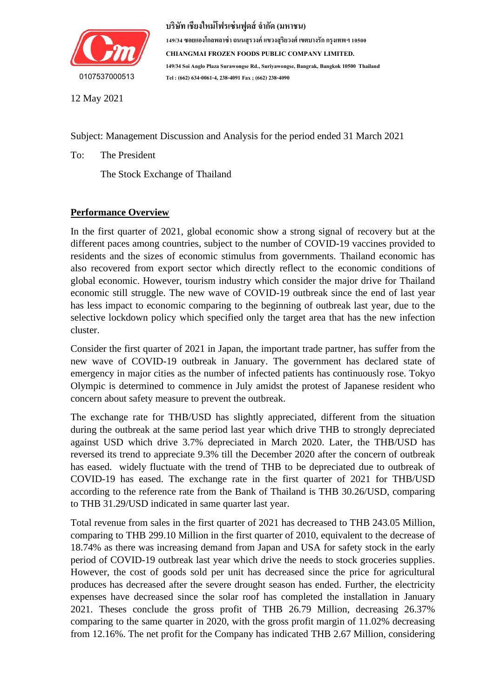

**บริษัท เชียงใหม่โฟรเซ่นฟูดส์จ ำกัด (มหำชน)**

**149/34 ซอยแองโกลพลำซ่ำ ถนนสุรวงค์ แขวงสุริยวงศ์ เขตบำงรัก กรุงเทพฯ 10500 CHIANGMAI FROZEN FOODS PUBLIC COMPANY LIMITED. 149/34 Soi Anglo Plaza Surawongse Rd., Suriyawongse, Bangrak, Bangkok 10500 Thailand Tel : (662) 634-0061-4, 238-4091 Fax ; (662) 238-4090**

12 May 2021

Subject: Management Discussion and Analysis for the period ended 31 March 2021

To: The President

The Stock Exchange of Thailand

# **Performance Overview**

In the first quarter of 2021, global economic show a strong signal of recovery but at the different paces among countries, subject to the number of COVID-19 vaccines provided to residents and the sizes of economic stimulus from governments. Thailand economic has also recovered from export sector which directly reflect to the economic conditions of global economic. However, tourism industry which consider the major drive for Thailand economic still struggle. The new wave of COVID-19 outbreak since the end of last year has less impact to economic comparing to the beginning of outbreak last year, due to the selective lockdown policy which specified only the target area that has the new infection cluster.

Consider the first quarter of 2021 in Japan, the important trade partner, has suffer from the new wave of COVID-19 outbreak in January. The government has declared state of emergency in major cities as the number of infected patients has continuously rose. Tokyo Olympic is determined to commence in July amidst the protest of Japanese resident who concern about safety measure to prevent the outbreak.

The exchange rate for THB/USD has slightly appreciated, different from the situation during the outbreak at the same period last year which drive THB to strongly depreciated against USD which drive 3.7% depreciated in March 2020. Later, the THB/USD has reversed its trend to appreciate 9.3% till the December 2020 after the concern of outbreak has eased. widely fluctuate with the trend of THB to be depreciated due to outbreak of COVID-19 has eased. The exchange rate in the first quarter of 2021 for THB/USD according to the reference rate from the Bank of Thailand is THB 30.26/USD, comparing to THB 31.29/USD indicated in same quarter last year.

Total revenue from sales in the first quarter of 2021 has decreased to THB 243.05 Million, comparing to THB 299.10 Million in the first quarter of 2010, equivalent to the decrease of 18.74% as there was increasing demand from Japan and USA for safety stock in the early period of COVID-19 outbreak last year which drive the needs to stock groceries supplies. However, the cost of goods sold per unit has decreased since the price for agricultural produces has decreased after the severe drought season has ended. Further, the electricity expenses have decreased since the solar roof has completed the installation in January 2021. Theses conclude the gross profit of THB 26.79 Million, decreasing 26.37% comparing to the same quarter in 2020, with the gross profit margin of 11.02% decreasing from 12.16%. The net profit for the Company has indicated THB 2.67 Million, considering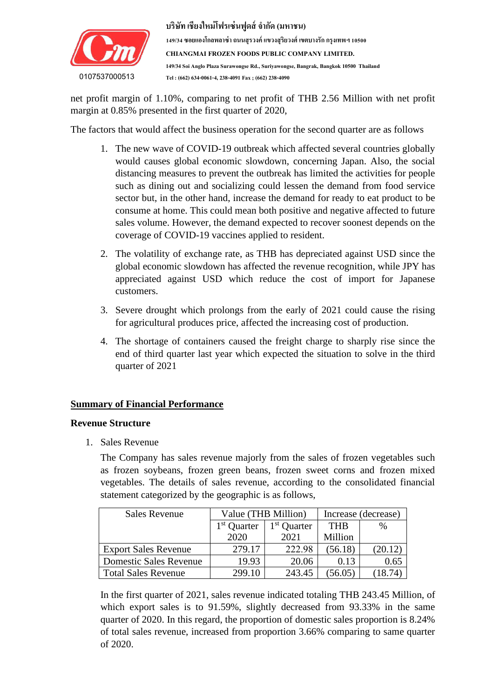

net profit margin of 1.10%, comparing to net profit of THB 2.56 Million with net profit margin at 0.85% presented in the first quarter of 2020,

The factors that would affect the business operation for the second quarter are as follows

- 1. The new wave of COVID-19 outbreak which affected several countries globally would causes global economic slowdown, concerning Japan. Also, the social distancing measures to prevent the outbreak has limited the activities for people such as dining out and socializing could lessen the demand from food service sector but, in the other hand, increase the demand for ready to eat product to be consume at home. This could mean both positive and negative affected to future sales volume. However, the demand expected to recover soonest depends on the coverage of COVID-19 vaccines applied to resident.
- 2. The volatility of exchange rate, as THB has depreciated against USD since the global economic slowdown has affected the revenue recognition, while JPY has appreciated against USD which reduce the cost of import for Japanese customers.
- 3. Severe drought which prolongs from the early of 2021 could cause the rising for agricultural produces price, affected the increasing cost of production.
- 4. The shortage of containers caused the freight charge to sharply rise since the end of third quarter last year which expected the situation to solve in the third quarter of 2021

# **Summary of Financial Performance**

#### **Revenue Structure**

1. Sales Revenue

The Company has sales revenue majorly from the sales of frozen vegetables such as frozen soybeans, frozen green beans, frozen sweet corns and frozen mixed vegetables. The details of sales revenue, according to the consolidated financial statement categorized by the geographic is as follows,

| <b>Sales Revenue</b>          | Value (THB Million)     |                         | Increase (decrease) |         |  |
|-------------------------------|-------------------------|-------------------------|---------------------|---------|--|
|                               | 1 <sup>st</sup> Quarter | 1 <sup>st</sup> Quarter | <b>THR</b>          | $\%$    |  |
|                               | 2020                    | 2021                    | Million             |         |  |
| <b>Export Sales Revenue</b>   | 279.17                  | 222.98                  | (56.18)             | (20.12) |  |
| <b>Domestic Sales Revenue</b> | 19.93                   | 20.06                   | 0.13                | 0.65    |  |
| <b>Total Sales Revenue</b>    | 299.10                  | 243.45                  | 56.05)              |         |  |

In the first quarter of 2021, sales revenue indicated totaling THB 243.45 Million, of which export sales is to 91.59%, slightly decreased from 93.33% in the same quarter of 2020. In this regard, the proportion of domestic sales proportion is 8.24% of total sales revenue, increased from proportion 3.66% comparing to same quarter of 2020.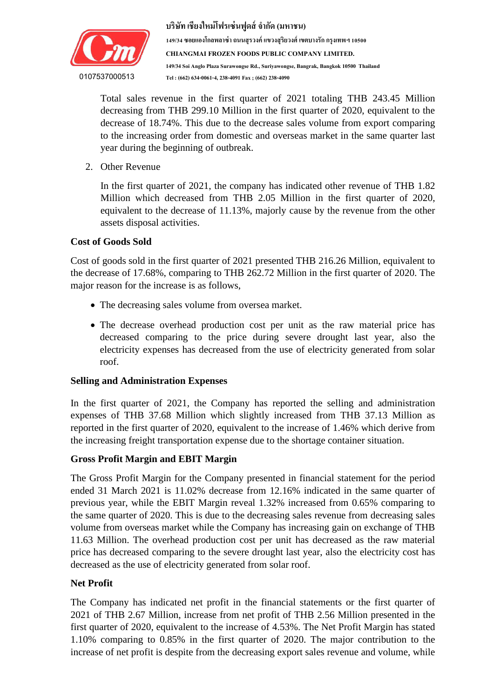

Total sales revenue in the first quarter of 2021 totaling THB 243.45 Million decreasing from TTD 233.10 Million in the first quarter of 2020, equivalent to the decrease of 18.74%. This due to the decrease sales volume from export comparing to the increasing order from domestic and overseas market in the same quarter last decreasing from THB 299.10 Million in the first quarter of 2020, equivalent to the year during the beginning of outbreak.

2. Other Revenue

In the first quarter of 2021, the company has indicated other revenue of THB 1.82 Million which decreased from THB 2.05 Million in the first quarter of 2020, equivalent to the decrease of 11.13%, majorly cause by the revenue from the other assets disposal activities.

### **Cost of Goods Sold**

Cost of goods sold in the first quarter of 2021 presented THB 216.26 Million, equivalent to the decrease of 17.68%, comparing to THB 262.72 Million in the first quarter of 2020. The major reason for the increase is as follows,

- The decreasing sales volume from oversea market.
- The decrease overhead production cost per unit as the raw material price has decreased comparing to the price during severe drought last year, also the electricity expenses has decreased from the use of electricity generated from solar roof.

#### **Selling and Administration Expenses**

In the first quarter of 2021, the Company has reported the selling and administration expenses of THB 37.68 Million which slightly increased from THB 37.13 Million as reported in the first quarter of 2020, equivalent to the increase of 1.46% which derive from the increasing freight transportation expense due to the shortage container situation.

# **Gross Profit Margin and EBIT Margin**

The Gross Profit Margin for the Company presented in financial statement for the period ended 31 March 2021 is 11.02% decrease from 12.16% indicated in the same quarter of previous year, while the EBIT Margin reveal 1.32% increased from 0.65% comparing to the same quarter of 2020. This is due to the decreasing sales revenue from decreasing sales volume from overseas market while the Company has increasing gain on exchange of THB 11.63 Million. The overhead production cost per unit has decreased as the raw material price has decreased comparing to the severe drought last year, also the electricity cost has decreased as the use of electricity generated from solar roof.

#### **Net Profit**

The Company has indicated net profit in the financial statements or the first quarter of 2021 of THB 2.67 Million, increase from net profit of THB 2.56 Million presented in the first quarter of 2020, equivalent to the increase of 4.53%. The Net Profit Margin has stated 1.10% comparing to 0.85% in the first quarter of 2020. The major contribution to the increase of net profit is despite from the decreasing export sales revenue and volume, while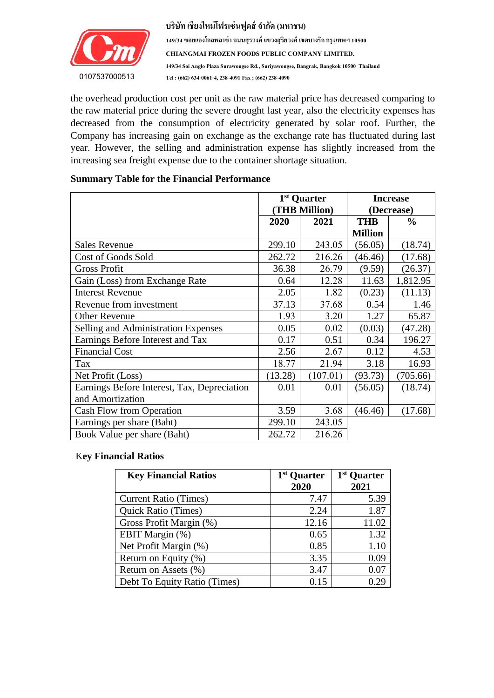

the overhead production cost per unit as the raw material price has decreased comparing to decreased from the consumption of electricity generated by solar roof. Further, the Company has increasing gain on exchange as the exchange rate has fluctuated during last the raw material price during the severe drought last year, also the electricity expenses has year. However, the selling and administration expense has slightly increased from the increasing sea freight expense due to the container shortage situation.

### **Summary Table for the Financial Performance**

|                                             |              | 1 <sup>st</sup> Quarter<br>(THB Million) | <b>Increase</b><br>(Decrease) |               |  |
|---------------------------------------------|--------------|------------------------------------------|-------------------------------|---------------|--|
|                                             | 2021<br>2020 |                                          | <b>THB</b>                    | $\frac{0}{0}$ |  |
|                                             |              |                                          | <b>Million</b>                |               |  |
| <b>Sales Revenue</b>                        | 299.10       | 243.05                                   | (56.05)                       | (18.74)       |  |
| <b>Cost of Goods Sold</b>                   | 262.72       | 216.26                                   | (46.46)                       | (17.68)       |  |
| <b>Gross Profit</b>                         | 36.38        | 26.79                                    | (9.59)                        | (26.37)       |  |
| Gain (Loss) from Exchange Rate              | 0.64         | 12.28                                    | 11.63                         | 1,812.95      |  |
| <b>Interest Revenue</b>                     | 2.05         | 1.82                                     | (0.23)                        | (11.13)       |  |
| Revenue from investment                     | 37.13        | 37.68                                    | 0.54                          | 1.46          |  |
| <b>Other Revenue</b>                        | 1.93         | 3.20                                     | 1.27                          | 65.87         |  |
| Selling and Administration Expenses         | 0.05         | 0.02                                     | (0.03)                        | (47.28)       |  |
| Earnings Before Interest and Tax            | 0.17         | 0.51                                     | 0.34                          | 196.27        |  |
| <b>Financial Cost</b>                       | 2.56         | 2.67                                     | 0.12                          | 4.53          |  |
| Tax                                         | 18.77        | 21.94                                    | 3.18                          | 16.93         |  |
| Net Profit (Loss)                           | (13.28)      | (107.01)                                 | (93.73)                       | (705.66)      |  |
| Earnings Before Interest, Tax, Depreciation | 0.01         | 0.01                                     | (56.05)                       | (18.74)       |  |
| and Amortization                            |              |                                          |                               |               |  |
| Cash Flow from Operation                    | 3.59         | 3.68                                     | (46.46)                       | (17.68)       |  |
| Earnings per share (Baht)                   | 299.10       | 243.05                                   |                               |               |  |
| Book Value per share (Baht)                 | 262.72       | 216.26                                   |                               |               |  |

#### K**ey Financial Ratios**

| <b>Key Financial Ratios</b>  | 1 <sup>st</sup> Quarter<br>2020 | 1 <sup>st</sup> Quarter<br>2021 |
|------------------------------|---------------------------------|---------------------------------|
| <b>Current Ratio (Times)</b> | 7.47                            | 5.39                            |
| <b>Quick Ratio (Times)</b>   | 2.24                            | 1.87                            |
| Gross Profit Margin (%)      | 12.16                           | 11.02                           |
| EBIT Margin (%)              | 0.65                            | 1.32                            |
| Net Profit Margin (%)        | 0.85                            | 1.10                            |
| Return on Equity (%)         | 3.35                            | 0.09                            |
| Return on Assets (%)         | 3.47                            | 0.07                            |
| Debt To Equity Ratio (Times) | 0.15                            |                                 |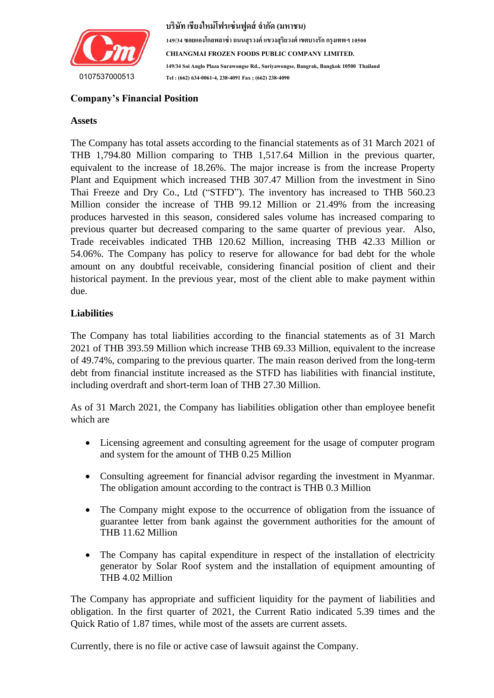

#### $\mathbf{Position}$ **Company's Financial Position**

#### **Assets**

เพื่อเปลี่ยนแปลงกำรจัดรูปแบบของกล่องข้อควำมของค ำอ้ำงอิงที่ดึงมำ The Company has total assets according to the financial statements as of 31 March 2021 of THB 1,794.80 Million comparing to THB 1,517.64 Million in the previous quarter, equivalent to the increase of 18.26%. The major increase is from the increase Property Plant and Equipment which increased THB 307.47 Million from the investment in Sino Thai Freeze and Dry Co., Ltd ("STFD"). The inventory has increased to THB 560.23 Million consider the increase of THB 99.12 Million or 21.49% from the increasing produces harvested in this season, considered sales volume has increased comparing to previous quarter but decreased comparing to the same quarter of previous year. Also, Trade receivables indicated THB 120.62 Million, increasing THB 42.33 Million or 54.06%. The Company has policy to reserve for allowance for bad debt for the whole amount on any doubtful receivable, considering financial position of client and their historical payment. In the previous year, most of the client able to make payment within due.

### **Liabilities**

The Company has total liabilities according to the financial statements as of 31 March 2021 of THB 393.59 Million which increase THB 69.33 Million, equivalent to the increase of 49.74%, comparing to the previous quarter. The main reason derived from the long-term debt from financial institute increased as the STFD has liabilities with financial institute, including overdraft and short-term loan of THB 27.30 Million.

As of 31 March 2021, the Company has liabilities obligation other than employee benefit which are

- Licensing agreement and consulting agreement for the usage of computer program and system for the amount of THB 0.25 Million
- Consulting agreement for financial advisor regarding the investment in Myanmar. The obligation amount according to the contract is THB 0.3 Million
- The Company might expose to the occurrence of obligation from the issuance of guarantee letter from bank against the government authorities for the amount of THB 11.62 Million
- The Company has capital expenditure in respect of the installation of electricity generator by Solar Roof system and the installation of equipment amounting of THB 4.02 Million

The Company has appropriate and sufficient liquidity for the payment of liabilities and obligation. In the first quarter of 2021, the Current Ratio indicated 5.39 times and the Quick Ratio of 1.87 times, while most of the assets are current assets.

Currently, there is no file or active case of lawsuit against the Company.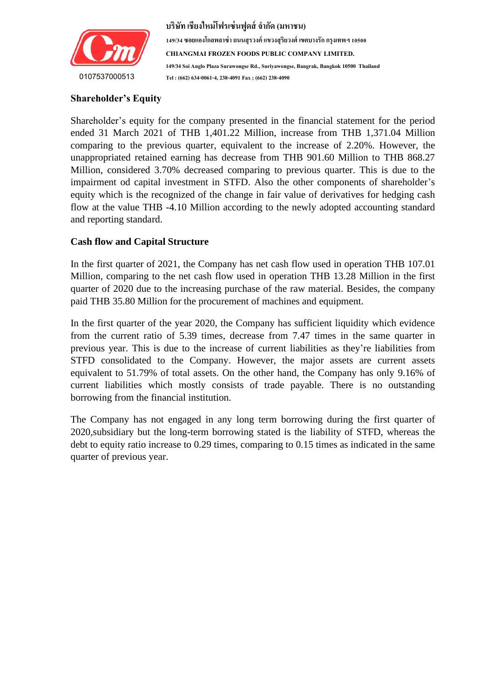

**บริษัท เชียงใหม่โฟรเซ่นฟูดส์จ ำกัด (มหำชน)**

**149/34 ซอยแองโกลพลำซ่ำ ถนนสุรวงค์ แขวงสุริยวงศ์ เขตบำงรัก กรุงเทพฯ 10500 CHIANGMAI FROZEN FOODS PUBLIC COMPANY LIMITED. 149/34 Soi Anglo Plaza Surawongse Rd., Suriyawongse, Bangrak, Bangkok 10500 Thailand Tel : (662) 634-0061-4, 238-4091 Fax ; (662) 238-4090**

## **Shareholder's Equity**

Shareholder's equity for the company presented in the financial statement for the period ended 31 March 2021 of THB 1,401.22 Million, increase from THB 1,371.04 Million comparing to the previous quarter, equivalent to the increase of 2.20%. However, the unappropriated retained earning has decrease from THB 901.60 Million to THB 868.27 Million, considered 3.70% decreased comparing to previous quarter. This is due to the impairment od capital investment in STFD. Also the other components of shareholder's equity which is the recognized of the change in fair value of derivatives for hedging cash flow at the value THB -4.10 Million according to the newly adopted accounting standard and reporting standard.

# **Cash flow and Capital Structure**

In the first quarter of 2021, the Company has net cash flow used in operation THB 107.01 Million, comparing to the net cash flow used in operation THB 13.28 Million in the first quarter of 2020 due to the increasing purchase of the raw material. Besides, the company paid THB 35.80 Million for the procurement of machines and equipment.

In the first quarter of the year 2020, the Company has sufficient liquidity which evidence from the current ratio of 5.39 times, decrease from 7.47 times in the same quarter in previous year. This is due to the increase of current liabilities as they're liabilities from STFD consolidated to the Company. However, the major assets are current assets equivalent to 51.79% of total assets. On the other hand, the Company has only 9.16% of current liabilities which mostly consists of trade payable. There is no outstanding borrowing from the financial institution.

The Company has not engaged in any long term borrowing during the first quarter of 2020,subsidiary but the long-term borrowing stated is the liability of STFD, whereas the debt to equity ratio increase to 0.29 times, comparing to 0.15 times as indicated in the same quarter of previous year.